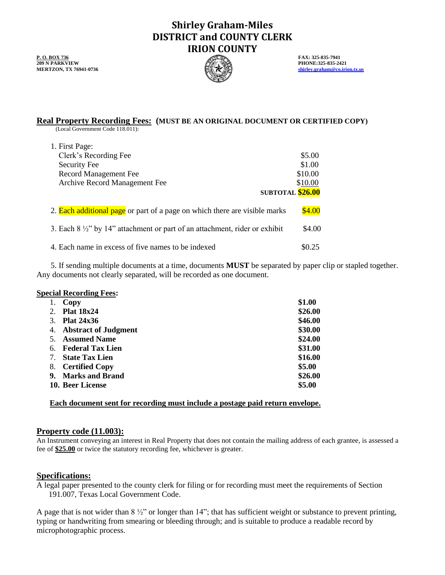# **Shirley Graham-Miles DISTRICT and COUNTY CLERK IRION COUNTY**

**P. O. BOX 736 FAX: 325-835-7941 FAX: 325-835-7941 FAX: 325-835-7941 FAX: 325-835-7941 209 N PARKVIEW PHONE:325-835-2421**<br> **PHONE:325-835-2421 PHONE:325-835-2421** 



**MERTZON, TX 76941-0736 [shirley.graham@co.irion.tx.us](mailto:shirley.graham@co.irion.tx.us)**

# **Real Property Recording Fees: (MUST BE AN ORIGINAL DOCUMENT OR CERTIFIED COPY)**

(Local Government Code 118.011):

| 1. First Page:                                                                        |         |
|---------------------------------------------------------------------------------------|---------|
| Clerk's Recording Fee                                                                 | \$5.00  |
| Security Fee                                                                          | \$1.00  |
| <b>Record Management Fee</b>                                                          | \$10.00 |
| Archive Record Management Fee                                                         | \$10.00 |
| SUBTOTAL \$26.00                                                                      |         |
|                                                                                       |         |
| 2. <b>Each additional page</b> or part of a page on which there are visible marks     | \$4.00  |
|                                                                                       |         |
| 3. Each $8\frac{1}{2}$ " by 14" attachment or part of an attachment, rider or exhibit | \$4.00  |
|                                                                                       |         |
| 4. Each name in excess of five names to be indexed                                    |         |

5. If sending multiple documents at a time, documents **MUST** be separated by paper clip or stapled together. Any documents not clearly separated, will be recorded as one document.

## **Special Recording Fees:**

|    | Copy                        | \$1.00  |
|----|-----------------------------|---------|
| 2. | <b>Plat 18x24</b>           | \$26.00 |
| 3. | <b>Plat 24x36</b>           | \$46.00 |
| 4. | <b>Abstract of Judgment</b> | \$30.00 |
| 5. | <b>Assumed Name</b>         | \$24.00 |
| 6. | <b>Federal Tax Lien</b>     | \$31.00 |
| 7. | <b>State Tax Lien</b>       | \$16.00 |
| 8. | <b>Certified Copy</b>       | \$5.00  |
| 9. | <b>Marks and Brand</b>      | \$26.00 |
|    | 10. Beer License            | \$5.00  |

# **Each document sent for recording must include a postage paid return envelope.**

## **Property code (11.003):**

An Instrument conveying an interest in Real Property that does not contain the mailing address of each grantee, is assessed a fee of **\$25.00** or twice the statutory recording fee, whichever is greater.

## **Specifications:**

A legal paper presented to the county clerk for filing or for recording must meet the requirements of Section 191.007, Texas Local Government Code.

A page that is not wider than  $8\frac{1}{2}$ " or longer than 14"; that has sufficient weight or substance to prevent printing, typing or handwriting from smearing or bleeding through; and is suitable to produce a readable record by microphotographic process.